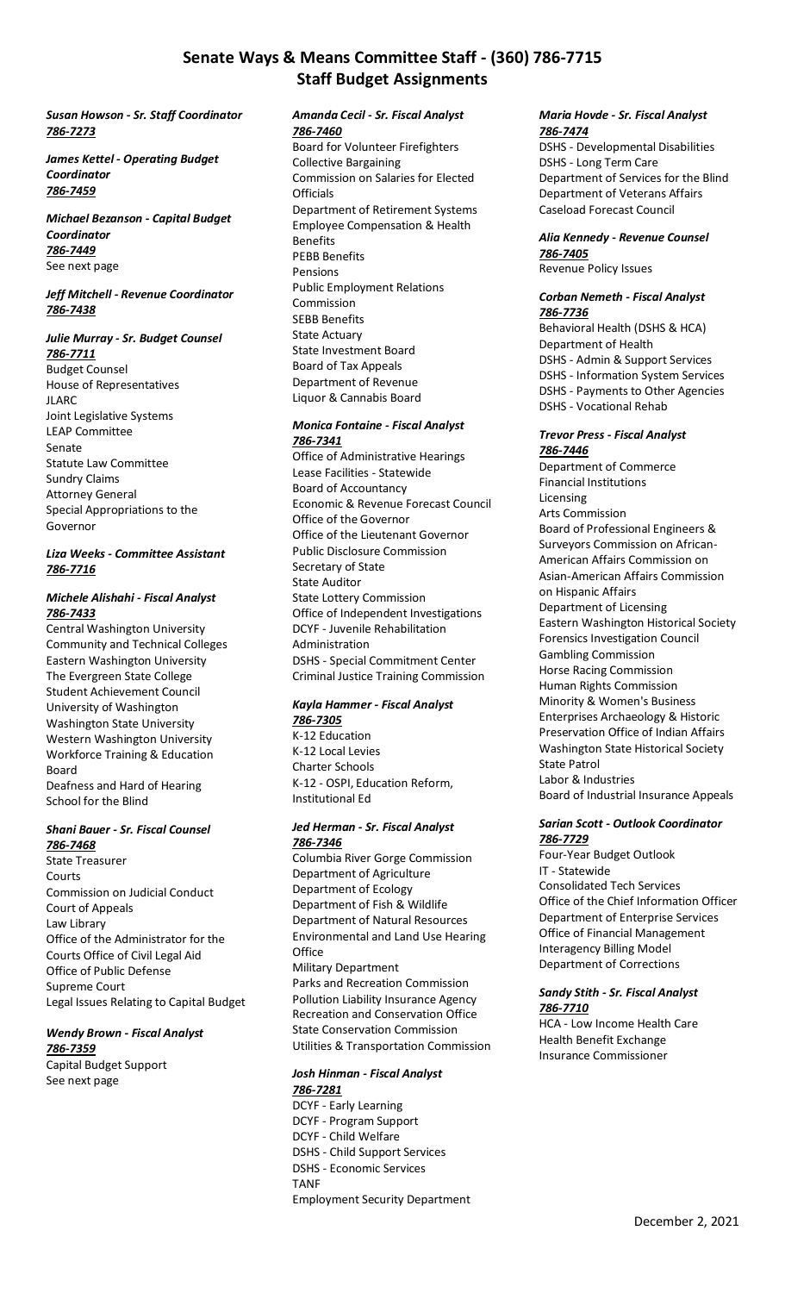# **Senate Ways & Means Committee Staff - (360) 786-7715 Staff Budget Assignments**

#### *Susan Howson - Sr. Staff Coordinator 786-7273*

*James Kettel - Operating Budget Coordinator 786-7459*

*Michael Bezanson - Capital Budget Coordinator 786-7449* See next page

## *Jeff Mitchell - Revenue Coordinator 786-7438*

# *Julie Murray - Sr. Budget Counsel 786-7711* Budget Counsel

House of Representatives JLARC Joint Legislative Systems LEAP Committee Senate Statute Law Committee Sundry Claims Attorney General Special Appropriations to the Governor

### *Liza Weeks - Committee Assistant 786-7716*

## *Michele Alishahi - Fiscal Analyst 786-7433*

Central Washington University Community and Technical Colleges Eastern Washington University The Evergreen State College Student Achievement Council University of Washington Washington State University Western Washington University Workforce Training & Education Board Deafness and Hard of Hearing School for the Blind

## *Shani Bauer - Sr. Fiscal Counsel 786-7468*

State Treasurer Courts Commission on Judicial Conduct Court of Appeals Law Library Office of the Administrator for the Courts Office of Civil Legal Aid Office of Public Defense Supreme Court Legal Issues Relating to Capital Budget

#### *Wendy Brown - Fiscal Analyst 786-7359*

Capital Budget Support See next page

#### *Amanda Cecil - Sr. Fiscal Analyst 786-7460*

Board for Volunteer Firefighters Collective Bargaining Commission on Salaries for Elected **Officials** Department of Retirement Systems Employee Compensation & Health Benefits PEBB Benefits Pensions Public Employment Relations Commission SEBB Benefits State Actuary State Investment Board Board of Tax Appeals Department of Revenue Liquor & Cannabis Board

#### *Monica Fontaine - Fiscal Analyst 786-7341*

Office of Administrative Hearings Lease Facilities - Statewide Board of Accountancy Economic & Revenue Forecast Council Office of the Governor Office of the Lieutenant Governor Public Disclosure Commission Secretary of State State Auditor State Lottery Commission Office of Independent Investigations DCYF - Juvenile Rehabilitation Administration DSHS - Special Commitment Center Criminal Justice Training Commission

# *Kayla Hammer - Fiscal Analyst 786-7305*

K-12 Education K-12 Local Levies Charter Schools K-12 - OSPI, Education Reform, Institutional Ed

## *Jed Herman - Sr. Fiscal Analyst 786-7346*

Columbia River Gorge Commission Department of Agriculture Department of Ecology Department of Fish & Wildlife Department of Natural Resources Environmental and Land Use Hearing **Office** Military Department Parks and Recreation Commission Pollution Liability Insurance Agency Recreation and Conservation Office State Conservation Commission Utilities & Transportation Commission

#### *Josh Hinman - Fiscal Analyst 786-7281*

DCYF - Early Learning DCYF - Program Support DCYF - Child Welfare DSHS - Child Support Services DSHS - Economic Services TANF

Employment Security Department

#### *Maria Hovde - Sr. Fiscal Analyst 786-7474*

DSHS - Developmental Disabilities DSHS - Long Term Care Department of Services for the Blind Department of Veterans Affairs Caseload Forecast Council

# *Alia Kennedy - Revenue Counsel 786-7405*

Revenue Policy Issues

#### *Corban Nemeth - Fiscal Analyst 786-7736*

Behavioral Health (DSHS & HCA) Department of Health DSHS - Admin & Support Services DSHS - Information System Services DSHS - Payments to Other Agencies DSHS - Vocational Rehab

#### *Trevor Press - Fiscal Analyst 786-7446*

Department of Commerce Financial Institutions Licensing Arts Commission Board of Professional Engineers & Surveyors Commission on African-American Affairs Commission on Asian-American Affairs Commission on Hispanic Affairs Department of Licensing Eastern Washington Historical Society Forensics Investigation Council Gambling Commission Horse Racing Commission Human Rights Commission Minority & Women's Business Enterprises Archaeology & Historic Preservation Office of Indian Affairs Washington State Historical Society State Patrol Labor & Industries Board of Industrial Insurance Appeals

#### *Sarian Scott - Outlook Coordinator 786-7729*

Four-Year Budget Outlook IT - Statewide Consolidated Tech Services Office of the Chief Information Officer Department of Enterprise Services Office of Financial Management Interagency Billing Model Department of Corrections

#### *Sandy Stith - Sr. Fiscal Analyst 786-7710*

HCA - Low Income Health Care Health Benefit Exchange Insurance Commissioner